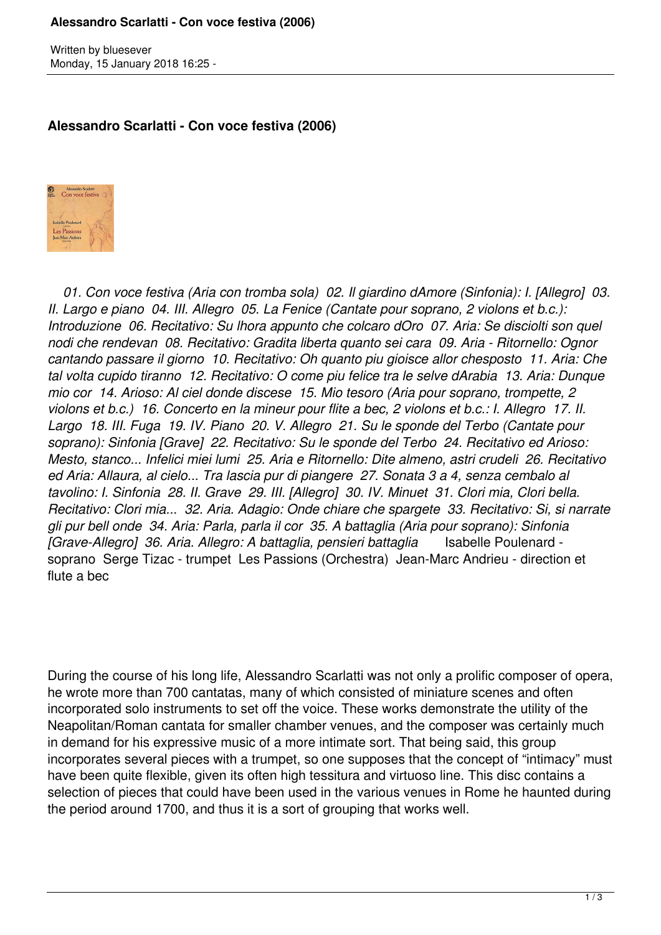## **Alessandro Scarlatti - Con voce festiva (2006)**

Written by bluesever Monday, 15 January 2018 16:25 -

## **Alessandro Scarlatti - Con voce festiva (2006)**



 *01. Con voce festiva (Aria con tromba sola) 02. Il giardino dAmore (Sinfonia): I. [Allegro] 03. II. Largo e piano 04. III. Allegro 05. La Fenice (Cantate pour soprano, 2 violons et b.c.): Introduzione 06. Recitativo: Su lhora appunto che colcaro dOro 07. Aria: Se disciolti son quel nodi che rendevan 08. Recitativo: Gradita liberta quanto sei cara 09. Aria - Ritornello: Ognor cantando passare il giorno 10. Recitativo: Oh quanto piu gioisce allor chesposto 11. Aria: Che tal volta cupido tiranno 12. Recitativo: O come piu felice tra le selve dArabia 13. Aria: Dunque mio cor 14. Arioso: Al ciel donde discese 15. Mio tesoro (Aria pour soprano, trompette, 2 violons et b.c.) 16. Concerto en la mineur pour flite a bec, 2 violons et b.c.: I. Allegro 17. II. Largo 18. III. Fuga 19. IV. Piano 20. V. Allegro 21. Su le sponde del Terbo (Cantate pour soprano): Sinfonia [Grave] 22. Recitativo: Su le sponde del Terbo 24. Recitativo ed Arioso: Mesto, stanco... Infelici miei lumi 25. Aria e Ritornello: Dite almeno, astri crudeli 26. Recitativo ed Aria: Allaura, al cielo... Tra lascia pur di piangere 27. Sonata 3 a 4, senza cembalo al tavolino: I. Sinfonia 28. II. Grave 29. III. [Allegro] 30. IV. Minuet 31. Clori mia, Clori bella. Recitativo: Clori mia... 32. Aria. Adagio: Onde chiare che spargete 33. Recitativo: Si, si narrate gli pur bell onde 34. Aria: Parla, parla il cor 35. A battaglia (Aria pour soprano): Sinfonia [Grave-Allegro] 36. Aria. Allegro: A battaglia, pensieri battaglia* Isabelle Poulenard soprano Serge Tizac - trumpet Les Passions (Orchestra) Jean-Marc Andrieu - direction et flute a bec

During the course of his long life, Alessandro Scarlatti was not only a prolific composer of opera, he wrote more than 700 cantatas, many of which consisted of miniature scenes and often incorporated solo instruments to set off the voice. These works demonstrate the utility of the Neapolitan/Roman cantata for smaller chamber venues, and the composer was certainly much in demand for his expressive music of a more intimate sort. That being said, this group incorporates several pieces with a trumpet, so one supposes that the concept of "intimacy" must have been quite flexible, given its often high tessitura and virtuoso line. This disc contains a selection of pieces that could have been used in the various venues in Rome he haunted during the period around 1700, and thus it is a sort of grouping that works well.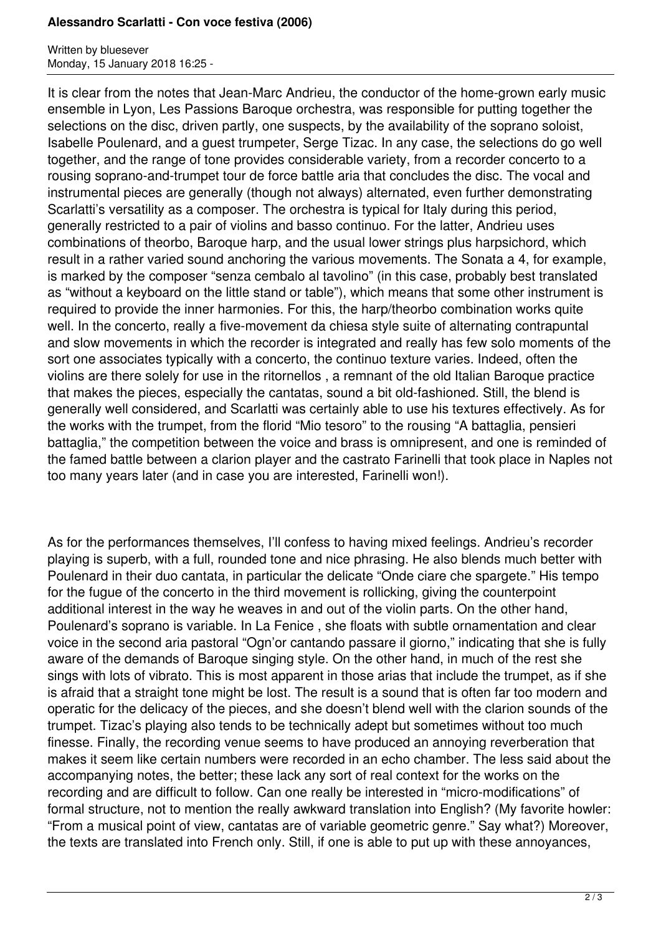## **Alessandro Scarlatti - Con voce festiva (2006)**

Written by bluesever Monday, 15 January 2018 16:25 -

It is clear from the notes that Jean-Marc Andrieu, the conductor of the home-grown early music ensemble in Lyon, Les Passions Baroque orchestra, was responsible for putting together the selections on the disc, driven partly, one suspects, by the availability of the soprano soloist, Isabelle Poulenard, and a guest trumpeter, Serge Tizac. In any case, the selections do go well together, and the range of tone provides considerable variety, from a recorder concerto to a rousing soprano-and-trumpet tour de force battle aria that concludes the disc. The vocal and instrumental pieces are generally (though not always) alternated, even further demonstrating Scarlatti's versatility as a composer. The orchestra is typical for Italy during this period, generally restricted to a pair of violins and basso continuo. For the latter, Andrieu uses combinations of theorbo, Baroque harp, and the usual lower strings plus harpsichord, which result in a rather varied sound anchoring the various movements. The Sonata a 4, for example, is marked by the composer "senza cembalo al tavolino" (in this case, probably best translated as "without a keyboard on the little stand or table"), which means that some other instrument is required to provide the inner harmonies. For this, the harp/theorbo combination works quite well. In the concerto, really a five-movement da chiesa style suite of alternating contrapuntal and slow movements in which the recorder is integrated and really has few solo moments of the sort one associates typically with a concerto, the continuo texture varies. Indeed, often the violins are there solely for use in the ritornellos , a remnant of the old Italian Baroque practice that makes the pieces, especially the cantatas, sound a bit old-fashioned. Still, the blend is generally well considered, and Scarlatti was certainly able to use his textures effectively. As for the works with the trumpet, from the florid "Mio tesoro" to the rousing "A battaglia, pensieri battaglia," the competition between the voice and brass is omnipresent, and one is reminded of the famed battle between a clarion player and the castrato Farinelli that took place in Naples not too many years later (and in case you are interested, Farinelli won!).

As for the performances themselves, I'll confess to having mixed feelings. Andrieu's recorder playing is superb, with a full, rounded tone and nice phrasing. He also blends much better with Poulenard in their duo cantata, in particular the delicate "Onde ciare che spargete." His tempo for the fugue of the concerto in the third movement is rollicking, giving the counterpoint additional interest in the way he weaves in and out of the violin parts. On the other hand, Poulenard's soprano is variable. In La Fenice , she floats with subtle ornamentation and clear voice in the second aria pastoral "Ogn'or cantando passare il giorno," indicating that she is fully aware of the demands of Baroque singing style. On the other hand, in much of the rest she sings with lots of vibrato. This is most apparent in those arias that include the trumpet, as if she is afraid that a straight tone might be lost. The result is a sound that is often far too modern and operatic for the delicacy of the pieces, and she doesn't blend well with the clarion sounds of the trumpet. Tizac's playing also tends to be technically adept but sometimes without too much finesse. Finally, the recording venue seems to have produced an annoying reverberation that makes it seem like certain numbers were recorded in an echo chamber. The less said about the accompanying notes, the better; these lack any sort of real context for the works on the recording and are difficult to follow. Can one really be interested in "micro-modifications" of formal structure, not to mention the really awkward translation into English? (My favorite howler: "From a musical point of view, cantatas are of variable geometric genre." Say what?) Moreover, the texts are translated into French only. Still, if one is able to put up with these annoyances,